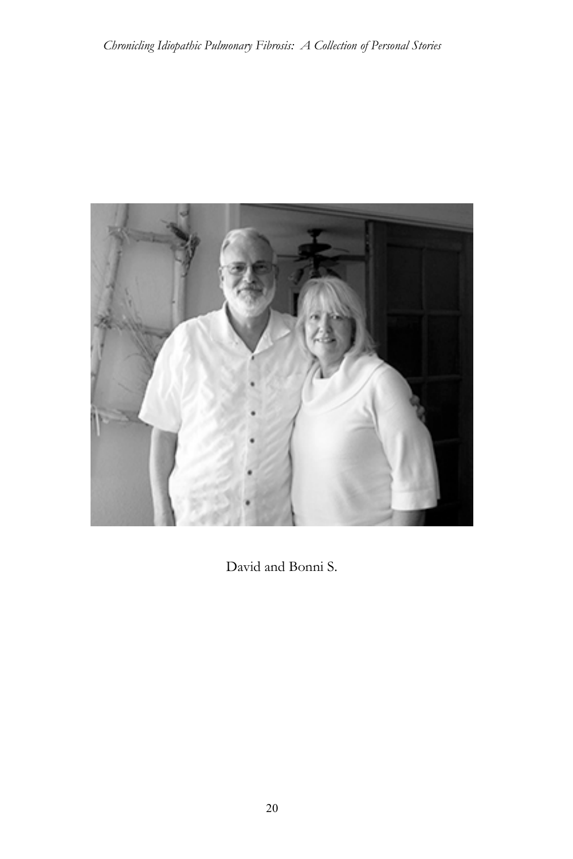

David and Bonni S.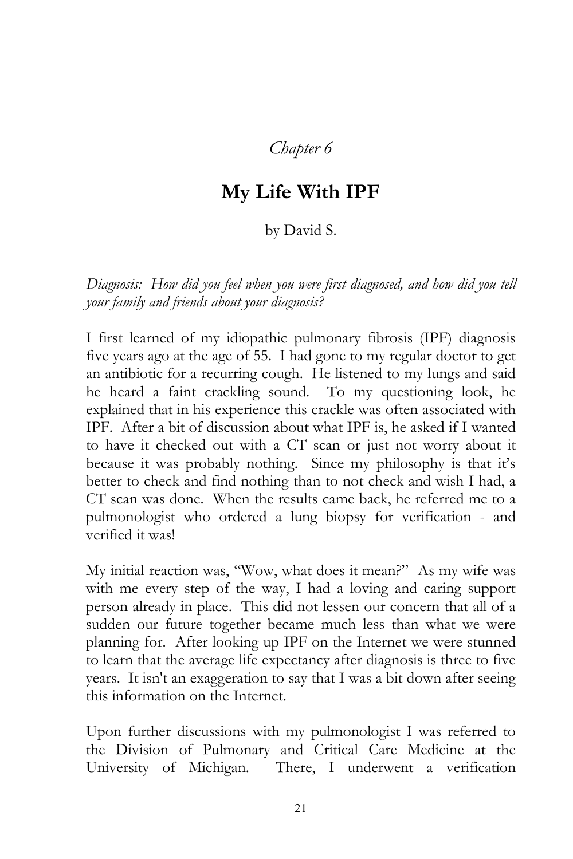## *Chapter 6*

## **My Life With IPF**

## by David S.

*Diagnosis: How did you feel when you were first diagnosed, and how did you tell your family and friends about your diagnosis?*

I first learned of my idiopathic pulmonary fibrosis (IPF) diagnosis five years ago at the age of 55. I had gone to my regular doctor to get an antibiotic for a recurring cough. He listened to my lungs and said he heard a faint crackling sound. To my questioning look, he explained that in his experience this crackle was often associated with IPF. After a bit of discussion about what IPF is, he asked if I wanted to have it checked out with a CT scan or just not worry about it because it was probably nothing. Since my philosophy is that it's better to check and find nothing than to not check and wish I had, a CT scan was done. When the results came back, he referred me to a pulmonologist who ordered a lung biopsy for verification - and verified it was!

My initial reaction was, "Wow, what does it mean?" As my wife was with me every step of the way, I had a loving and caring support person already in place. This did not lessen our concern that all of a sudden our future together became much less than what we were planning for. After looking up IPF on the Internet we were stunned to learn that the average life expectancy after diagnosis is three to five years. It isn't an exaggeration to say that I was a bit down after seeing this information on the Internet.

Upon further discussions with my pulmonologist I was referred to the Division of Pulmonary and Critical Care Medicine at the University of Michigan. There, I underwent a verification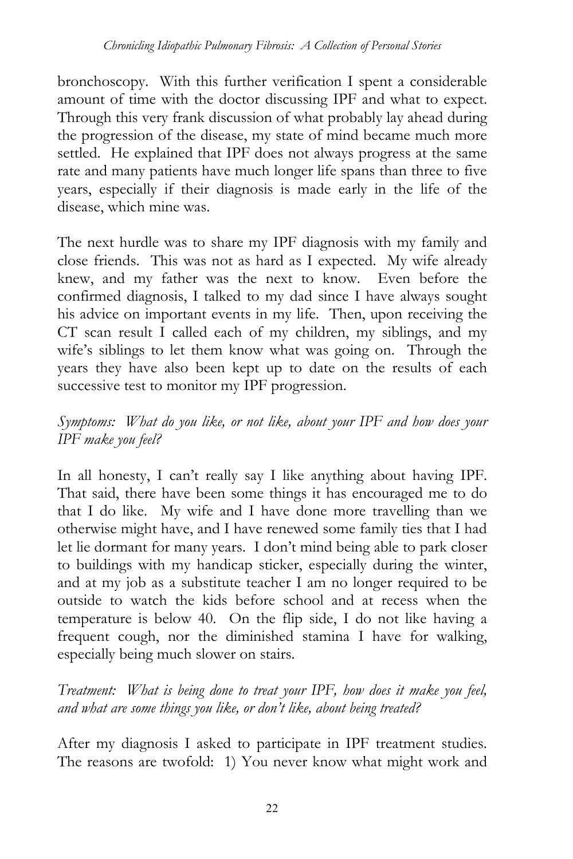bronchoscopy. With this further verification I spent a considerable amount of time with the doctor discussing IPF and what to expect. Through this very frank discussion of what probably lay ahead during the progression of the disease, my state of mind became much more settled. He explained that IPF does not always progress at the same rate and many patients have much longer life spans than three to five years, especially if their diagnosis is made early in the life of the disease, which mine was.

The next hurdle was to share my IPF diagnosis with my family and close friends. This was not as hard as I expected. My wife already knew, and my father was the next to know. Even before the confirmed diagnosis, I talked to my dad since I have always sought his advice on important events in my life. Then, upon receiving the CT scan result I called each of my children, my siblings, and my wife's siblings to let them know what was going on. Through the years they have also been kept up to date on the results of each successive test to monitor my IPF progression.

*Symptoms: What do you like, or not like, about your IPF and how does your IPF make you feel?*

In all honesty, I can't really say I like anything about having IPF. That said, there have been some things it has encouraged me to do that I do like. My wife and I have done more travelling than we otherwise might have, and I have renewed some family ties that I had let lie dormant for many years. I don't mind being able to park closer to buildings with my handicap sticker, especially during the winter, and at my job as a substitute teacher I am no longer required to be outside to watch the kids before school and at recess when the temperature is below 40. On the flip side, I do not like having a frequent cough, nor the diminished stamina I have for walking, especially being much slower on stairs.

*Treatment: What is being done to treat your IPF, how does it make you feel, and what are some things you like, or don't like, about being treated?*

After my diagnosis I asked to participate in IPF treatment studies. The reasons are twofold: 1) You never know what might work and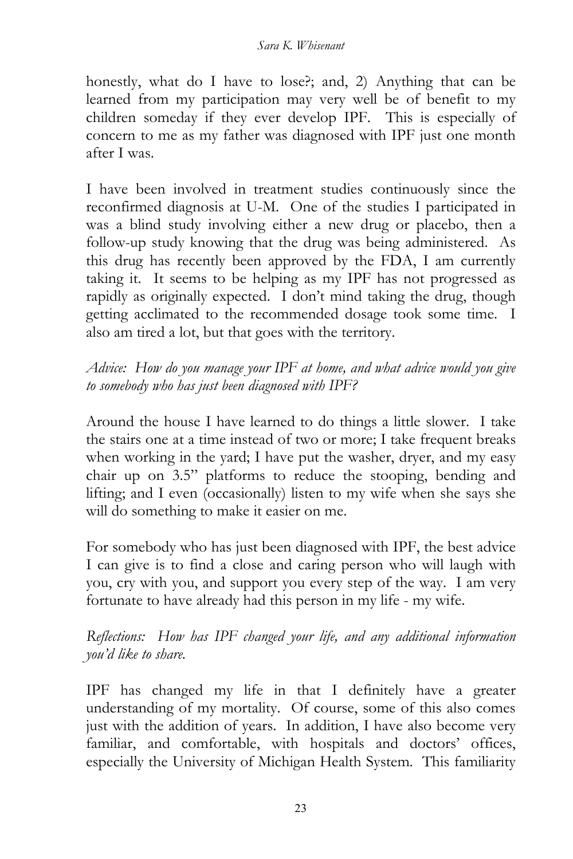## *Sara K. Whisenant*

honestly, what do I have to lose?; and, 2) Anything that can be learned from my participation may very well be of benefit to my children someday if they ever develop IPF. This is especially of concern to me as my father was diagnosed with IPF just one month after I was.

I have been involved in treatment studies continuously since the reconfirmed diagnosis at U-M. One of the studies I participated in was a blind study involving either a new drug or placebo, then a follow-up study knowing that the drug was being administered. As this drug has recently been approved by the FDA, I am currently taking it. It seems to be helping as my IPF has not progressed as rapidly as originally expected. I don't mind taking the drug, though getting acclimated to the recommended dosage took some time. I also am tired a lot, but that goes with the territory.

*Advice: How do you manage your IPF at home, and what advice would you give to somebody who has just been diagnosed with IPF?*

Around the house I have learned to do things a little slower. I take the stairs one at a time instead of two or more; I take frequent breaks when working in the yard; I have put the washer, dryer, and my easy chair up on 3.5" platforms to reduce the stooping, bending and lifting; and I even (occasionally) listen to my wife when she says she will do something to make it easier on me.

For somebody who has just been diagnosed with IPF, the best advice I can give is to find a close and caring person who will laugh with you, cry with you, and support you every step of the way. I am very fortunate to have already had this person in my life - my wife.

*Reflections: How has IPF changed your life, and any additional information you'd like to share.*

IPF has changed my life in that I definitely have a greater understanding of my mortality. Of course, some of this also comes just with the addition of years. In addition, I have also become very familiar, and comfortable, with hospitals and doctors' offices, especially the University of Michigan Health System. This familiarity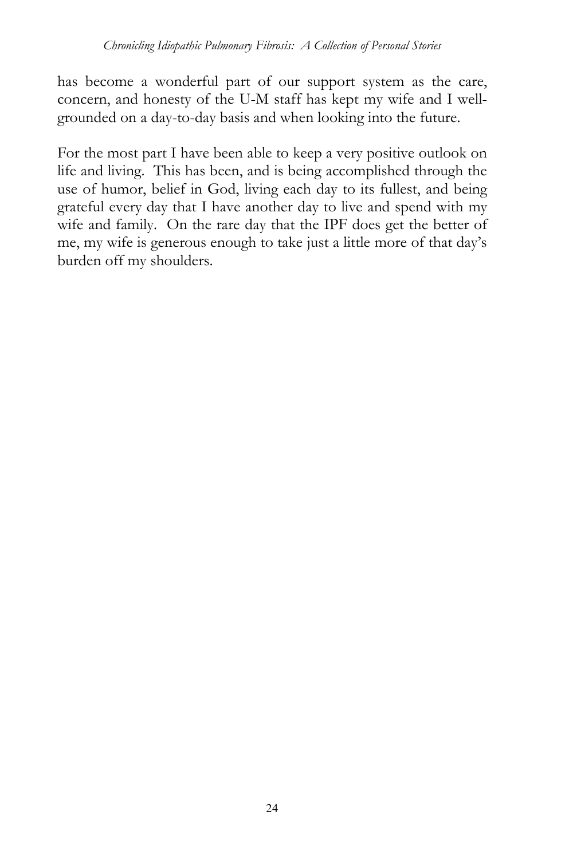has become a wonderful part of our support system as the care, concern, and honesty of the U-M staff has kept my wife and I wellgrounded on a day-to-day basis and when looking into the future.

For the most part I have been able to keep a very positive outlook on life and living. This has been, and is being accomplished through the use of humor, belief in God, living each day to its fullest, and being grateful every day that I have another day to live and spend with my wife and family. On the rare day that the IPF does get the better of me, my wife is generous enough to take just a little more of that day's burden off my shoulders.